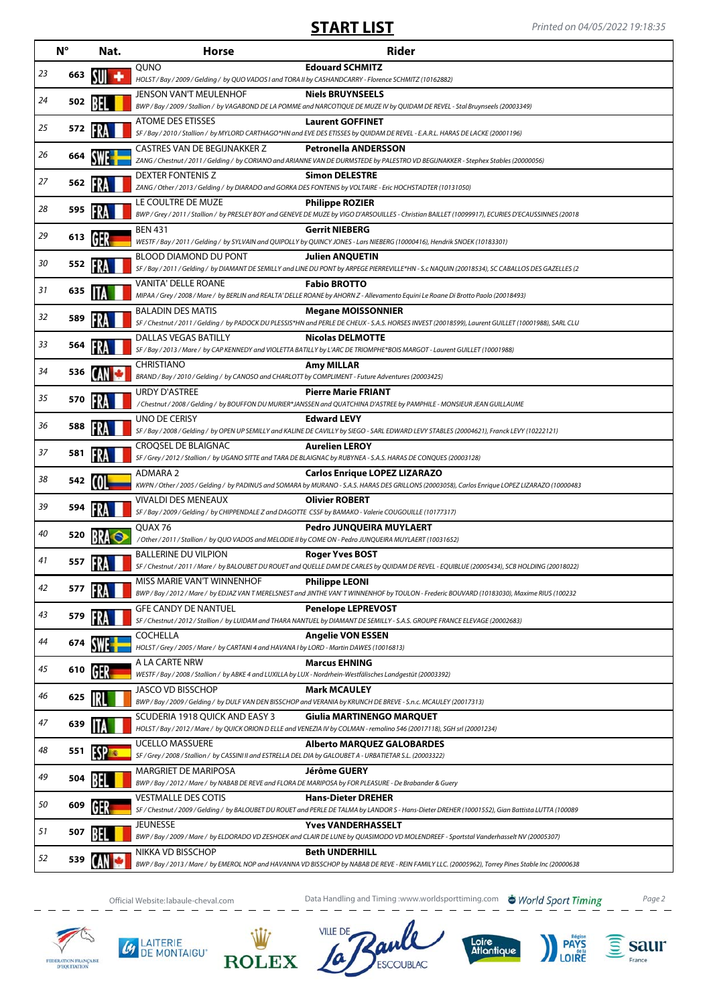|    | $N^{\circ}$ | Nat.        | <b>Horse</b>                                                                                                                           | Rider                                                                                                                                                                          |
|----|-------------|-------------|----------------------------------------------------------------------------------------------------------------------------------------|--------------------------------------------------------------------------------------------------------------------------------------------------------------------------------|
| 23 | 663         |             | QUNO<br>HOLST/Bay/2009/Gelding/by QUO VADOS I and TORA II by CASHANDCARRY - Florence SCHMITZ (10162882)                                | <b>Edouard SCHMITZ</b>                                                                                                                                                         |
| 24 | 502         |             | <b>JENSON VAN'T MEULENHOF</b>                                                                                                          | <b>Niels BRUYNSEELS</b><br>BWP / Bay / 2009 / Stallion / by VAGABOND DE LA POMME and NARCOTIQUE DE MUZE IV by QUIDAM DE REVEL - Stal Bruynseels (20003349)                     |
| 25 | 572         |             | <b>ATOME DES ETISSES</b>                                                                                                               | <b>Laurent GOFFINET</b><br>SF / Bay / 2010 / Stallion / by MYLORD CARTHAGO*HN and EVE DES ETISSES by QUIDAM DE REVEL - E.A.R.L. HARAS DE LACKE (20001196)                      |
| 26 | 664         |             | CASTRES VAN DE BEGIJNAKKER Z                                                                                                           | <b>Petronella ANDERSSON</b><br>ZANG / Chestnut / 2011 / Gelding / by CORIANO and ARIANNE VAN DE DURMSTEDE by PALESTRO VD BEGIJNAKKER - Stephex Stables (20000056)              |
| 27 | 562         |             | DEXTER FONTENIS Z<br>ZANG / Other / 2013 / Gelding / by DIARADO and GORKA DES FONTENIS by VOLTAIRE - Eric HOCHSTADTER (10131050)       | <b>Simon DELESTRE</b>                                                                                                                                                          |
| 28 | 595         |             | LE COULTRE DE MUZE                                                                                                                     | <b>Philippe ROZIER</b><br>BWP / Grey / 2011 / Stallion / by PRESLEY BOY and GENEVE DE MUZE by VIGO D'ARSOUILLES - Christian BAILLET (10099917), ECURIES D'ECAUSSINNES (20018   |
| 29 | 613         | GF          | <b>BEN 431</b>                                                                                                                         | <b>Gerrit NIEBERG</b><br>WESTF / Bay / 2011 / Gelding / by SYLVAIN and QUIPOLLY by QUINCY JONES - Lars NIEBERG (10000416), Hendrik SNOEK (10183301)                            |
| 30 | 552         |             | BLOOD DIAMOND DU PONT                                                                                                                  | <b>Julien ANQUETIN</b><br>SF / Bay / 2011 / Gelding / by DIAMANT DE SEMILLY and LINE DU PONT by ARPEGE PIERREVILLE*HN - S.c NAQUIN (20018534), SC CABALLOS DES GAZELLES (2     |
| 31 | 635         |             | VANITA' DELLE ROANE                                                                                                                    | <b>Fabio BROTTO</b><br>MIPAA / Grey / 2008 / Mare / by BERLIN and REALTA' DELLE ROANE by AHORN Z - Allevamento Equini Le Roane Di Brotto Paolo (20018493)                      |
| 32 | 589         |             | <b>BALADIN DES MATIS</b>                                                                                                               | <b>Megane MOISSONNIER</b>                                                                                                                                                      |
| 33 | 564         |             | <b>DALLAS VEGAS BATILLY</b>                                                                                                            | SF / Chestnut / 2011 / Gelding / by PADOCK DU PLESSIS*HN and PERLE DE CHEUX - S.A.S. HORSES INVEST (20018599), Laurent GUILLET (10001988), SARL CLU<br><b>Nicolas DELMOTTE</b> |
| 34 | 536         |             | <b>CHRISTIANO</b>                                                                                                                      | SF / Bay / 2013 / Mare / by CAP KENNEDY and VIOLETTA BATILLY by L'ARC DE TRIOMPHE*BOIS MARGOT - Laurent GUILLET (10001988)<br>Amy MILLAR                                       |
| 35 | 570         |             | BRAND / Bay / 2010 / Gelding / by CANOSO and CHARLOTT by COMPLIMENT - Future Adventures (20003425)<br><b>URDY D'ASTREE</b>             | <b>Pierre Marie FRIANT</b>                                                                                                                                                     |
| 36 | 588         |             | UNO DE CERISY                                                                                                                          | / Chestnut / 2008 / Gelding / by BOUFFON DU MURIER*JANSSEN and QUATCHINA D'ASTREE by PAMPHILE - MONSIEUR JEAN GUILLAUME<br><b>Edward LEVY</b>                                  |
| 37 |             |             | CROQSEL DE BLAIGNAC                                                                                                                    | SF / Bay / 2008 / Gelding / by OPEN UP SEMILLY and KALINE DE CAVILLY by SIEGO - SARL EDWARD LEVY STABLES (20004621), Franck LEVY (10222121)<br><b>Aurelien LEROY</b>           |
|    | 581         |             | ADMARA 2                                                                                                                               | SF / Grey / 2012 / Stallion / by UGANO SITTE and TARA DE BLAIGNAC by RUBYNEA - S.A.S. HARAS DE CONQUES (20003128)<br><b>Carlos Enrique LOPEZ LIZARAZO</b>                      |
| 38 | 542         |             | <b>VIVALDI DES MENEAUX</b>                                                                                                             | KWPN / Other / 2005 / Gelding / by PADINUS and SOMARA by MURANO - S.A.S. HARAS DES GRILLONS (20003058), Carlos Enrique LOPEZ LIZARAZO (10000483<br><b>Olivier ROBERT</b>       |
| 39 | 594         |             | SF / Bay / 2009 / Gelding / by CHIPPENDALE Z and DAGOTTE CSSF by BAMAKO - Valerie COUGOUILLE (10177317)<br>QUAX 76                     | Pedro JUNQUEIRA MUYLAERT                                                                                                                                                       |
| 40 | 520         |             | /Other / 2011 / Stallion / by QUO VADOS and MELODIE II by COME ON - Pedro JUNQUEIRA MUYLAERT (10031652)<br><b>BALLERINE DU VILPION</b> | <b>Roger Yves BOST</b>                                                                                                                                                         |
| 41 | 557         |             | MISS MARIE VAN'T WINNENHOF                                                                                                             | SF / Chestnut / 2011 / Mare / by BALOUBET DU ROUET and QUELLE DAM DE CARLES by QUIDAM DE REVEL - EQUIBLUE (20005434), SCB HOLDING (20018022)<br><b>Philippe LEONI</b>          |
| 42 | 577         |             | <b>GFE CANDY DE NANTUEL</b>                                                                                                            | BWP / Bay / 2012 / Mare / by EDJAZ VAN T MERELSNEST and JINTHE VAN'T WINNENHOF by TOULON - Frederic BOUVARD (10183030), Maxime RIUS (100232<br><b>Penelope LEPREVOST</b>       |
| 43 | 579         |             |                                                                                                                                        | SF / Chestnut / 2012 / Stallion / by LUIDAM and THARA NANTUEL by DIAMANT DE SEMILLY - S.A.S. GROUPE FRANCE ELEVAGE (20002683)                                                  |
| 44 | 674         |             | COCHELLA<br>HOLST / Grey / 2005 / Mare / by CARTANI 4 and HAVANA I by LORD - Martin DAWES (10016813)                                   | <b>Angelie VON ESSEN</b>                                                                                                                                                       |
| 45 | 610         | GER         | A LA CARTE NRW<br>WESTF / Bay / 2008 / Stallion / by ABKE 4 and LUXILLA by LUX - Nordrhein-Westfälisches Landgestüt (20003392)         | <b>Marcus EHNING</b>                                                                                                                                                           |
| 46 | 625         |             | <b>JASCO VD BISSCHOP</b>                                                                                                               | <b>Mark MCAULEY</b><br>BWP / Bay / 2009 / Gelding / by DULF VAN DEN BISSCHOP and VERANIA by KRUNCH DE BREVE - S.n.c. MCAULEY (20017313)                                        |
| 47 | 639         |             | SCUDERIA 1918 QUICK AND EASY 3                                                                                                         | <b>Giulia MARTINENGO MARQUET</b><br>HOLST / Bay / 2012 / Mare / by QUICK ORION D ELLE and VENEZIA IV by COLMAN - remolino 546 (20017118), SGH srl (20001234)                   |
| 48 | 551         | <b>ESPE</b> | <b>UCELLO MASSUERE</b><br>SF / Grey / 2008 / Stallion / by CASSINI II and ESTRELLA DEL DIA by GALOUBET A - URBATIETAR S.L. (20003322)  | <b>Alberto MARQUEZ GALOBARDES</b>                                                                                                                                              |
| 49 | 504         |             | <b>MARGRIET DE MARIPOSA</b><br>BWP / Bay / 2012 / Mare / by NABAB DE REVE and FLORA DE MARIPOSA by FOR PLEASURE - De Brabander & Guery | Jérôme GUERY                                                                                                                                                                   |
| 50 | 609         |             | <b>VESTMALLE DES COTIS</b>                                                                                                             | <b>Hans-Dieter DREHER</b><br>SF / Chestnut / 2009 / Gelding / by BALOUBET DU ROUET and PERLE DE TALMA by LANDOR S - Hans-Dieter DREHER (10001552), Gian Battista LUTTA (100089 |
| 51 | 507         |             | <b>JEUNESSE</b>                                                                                                                        | <b>Yves VANDERHASSELT</b><br>BWP / Bay / 2009 / Mare / by ELDORADO VD ZESHOEK and CLAIR DE LUNE by QUASIMODO VD MOLENDREEF - Sportstal Vanderhasselt NV (20005307)             |
| 52 | 539         |             | NIKKA VD BISSCHOP                                                                                                                      | <b>Beth UNDERHILL</b><br>BWP / Bay / 2013 / Mare / by EMEROL NOP and HAVANNA VD BISSCHOP by NABAB DE REVE - REIN FAMILY LLC. (20005962), Torrey Pines Stable Inc (20000638     |

Official Website:labaule-cheval.com Data Handling and Timing :www.worldsporttiming.com Page 2